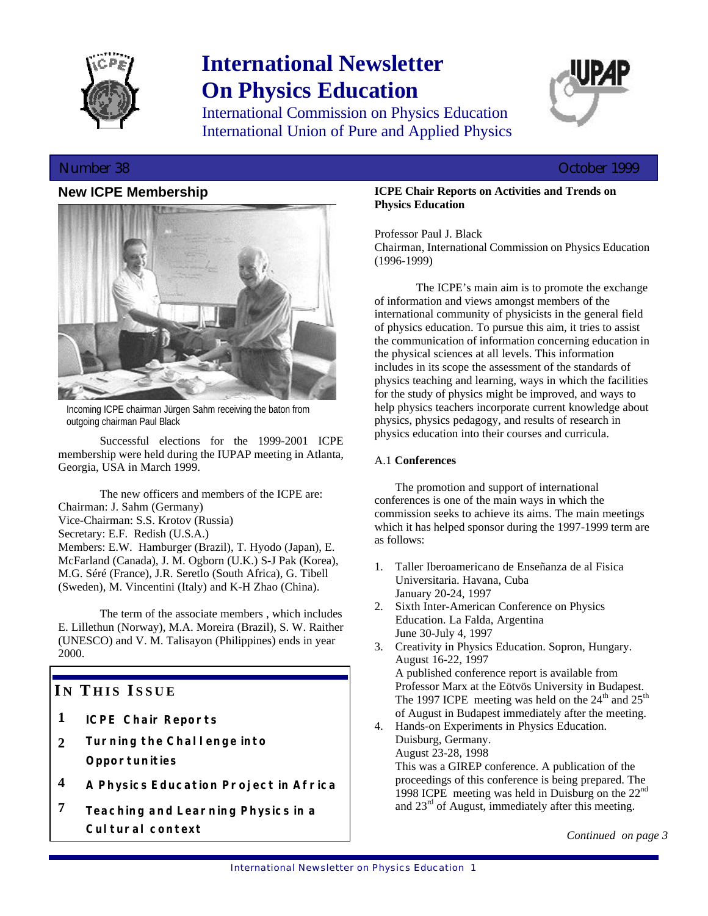

# **International Newsletter On Physics Education**

International Commission on Physics Education International Union of Pure and Applied Physics



## Number 38 October 1999

## **New ICPE Membership**



Incoming ICPE chairman Jürgen Sahm receiving the baton from outgoing chairman Paul Black

Successful elections for the 1999-2001 ICPE membership were held during the IUPAP meeting in Atlanta, Georgia, USA in March 1999.

The new officers and members of the ICPE are: Chairman: J. Sahm (Germany) Vice-Chairman: S.S. Krotov (Russia) Secretary: E.F. Redish (U.S.A.) Members: E.W. Hamburger (Brazil), T. Hyodo (Japan), E. McFarland (Canada), J. M. Ogborn (U.K.) S-J Pak (Korea), M.G. Séré (France), J.R. Seretlo (South Africa), G. Tibell (Sweden), M. Vincentini (Italy) and K-H Zhao (China).

The term of the associate members , which includes E. Lillethun (Norway), M.A. Moreira (Brazil), S. W. Raither (UNESCO) and V. M. Talisayon (Philippines) ends in year 2000.

# **I N T HIS I SSUE**

- **1** *ICPE Chair Reports*
- **2** *Turning the Challenge into Opportunities*
- **4** *A Physics Education Project in Africa*
- **7** *Teaching and Learning Physics in a Cultural context*

## **ICPE Chair Reports on Activities and Trends on Physics Education**

Professor Paul J. Black

Chairman, International Commission on Physics Education (1996-1999)

The ICPE's main aim is to promote the exchange of information and views amongst members of the international community of physicists in the general field of physics education. To pursue this aim, it tries to assist the communication of information concerning education in the physical sciences at all levels. This information includes in its scope the assessment of the standards of physics teaching and learning, ways in which the facilities for the study of physics might be improved, and ways to help physics teachers incorporate current knowledge about physics, physics pedagogy, and results of research in physics education into their courses and curricula.

## A.1 **Conferences**

The promotion and support of international conferences is one of the main ways in which the commission seeks to achieve its aims. The main meetings which it has helped sponsor during the 1997-1999 term are as follows:

- 1. Taller Iberoamericano de Enseñanza de al Fisica Universitaria. Havana, Cuba January 20-24, 1997
- 2. Sixth Inter-American Conference on Physics Education. La Falda, Argentina June 30-July 4, 1997
- 3. Creativity in Physics Education. Sopron, Hungary. August 16-22, 1997 A published conference report is available from Professor Marx at the Eötvös University in Budapest. The 1997 ICPE meeting was held on the  $24<sup>th</sup>$  and  $25<sup>th</sup>$ of August in Budapest immediately after the meeting.
- 4. Hands-on Experiments in Physics Education. Duisburg, Germany. August 23-28, 1998 This was a GIREP conference. A publication of the proceedings of this conference is being prepared. The 1998 ICPE meeting was held in Duisburg on the 22<sup>nd</sup> and  $23<sup>rd</sup>$  of August, immediately after this meeting.

*Continued on page 3*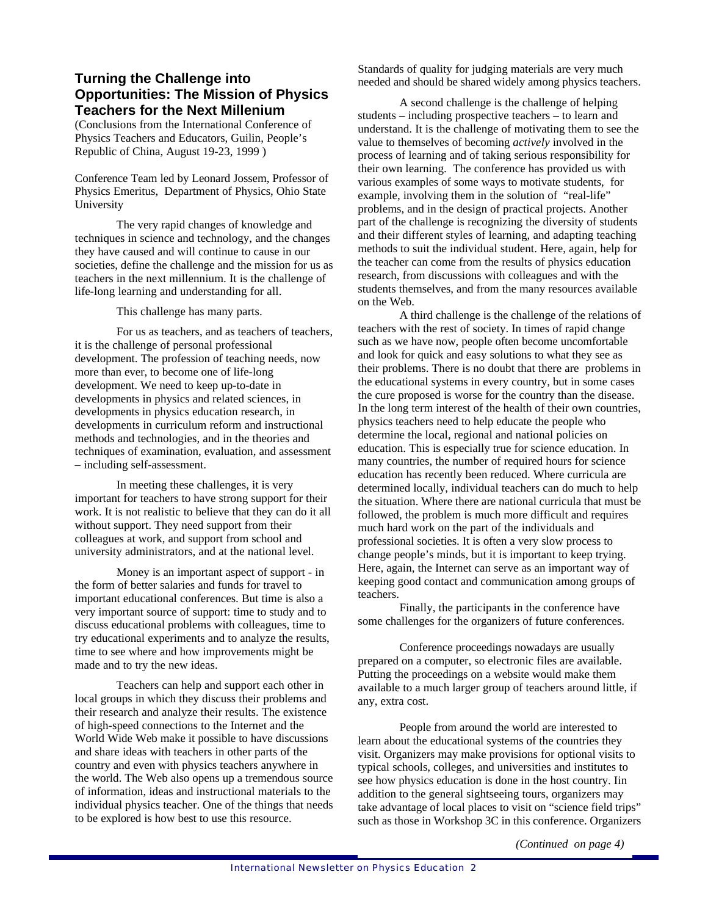## **Turning the Challenge into Opportunities: The Mission of Physics Teachers for the Next Millenium**

(Conclusions from the International Conference of Physics Teachers and Educators, Guilin, People's Republic of China, August 19-23, 1999 )

Conference Team led by Leonard Jossem, Professor of Physics Emeritus, Department of Physics, Ohio State University

The very rapid changes of knowledge and techniques in science and technology, and the changes they have caused and will continue to cause in our societies, define the challenge and the mission for us as teachers in the next millennium. It is the challenge of life-long learning and understanding for all.

This challenge has many parts.

For us as teachers, and as teachers of teachers, it is the challenge of personal professional development. The profession of teaching needs, now more than ever, to become one of life-long development. We need to keep up-to-date in developments in physics and related sciences, in developments in physics education research, in developments in curriculum reform and instructional methods and technologies, and in the theories and techniques of examination, evaluation, and assessment – including self-assessment.

In meeting these challenges, it is very important for teachers to have strong support for their work. It is not realistic to believe that they can do it all without support. They need support from their colleagues at work, and support from school and university administrators, and at the national level.

Money is an important aspect of support - in the form of better salaries and funds for travel to important educational conferences. But time is also a very important source of support: time to study and to discuss educational problems with colleagues, time to try educational experiments and to analyze the results, time to see where and how improvements might be made and to try the new ideas.

Teachers can help and support each other in local groups in which they discuss their problems and their research and analyze their results. The existence of high-speed connections to the Internet and the World Wide Web make it possible to have discussions and share ideas with teachers in other parts of the country and even with physics teachers anywhere in the world. The Web also opens up a tremendous source of information, ideas and instructional materials to the individual physics teacher. One of the things that needs to be explored is how best to use this resource.

Standards of quality for judging materials are very much needed and should be shared widely among physics teachers.

A second challenge is the challenge of helping students – including prospective teachers – to learn and understand. It is the challenge of motivating them to see the value to themselves of becoming *actively* involved in the process of learning and of taking serious responsibility for their own learning. The conference has provided us with various examples of some ways to motivate students, for example, involving them in the solution of "real-life" problems, and in the design of practical projects. Another part of the challenge is recognizing the diversity of students and their different styles of learning, and adapting teaching methods to suit the individual student. Here, again, help for the teacher can come from the results of physics education research, from discussions with colleagues and with the students themselves, and from the many resources available on the Web.

A third challenge is the challenge of the relations of teachers with the rest of society. In times of rapid change such as we have now, people often become uncomfortable and look for quick and easy solutions to what they see as their problems. There is no doubt that there are problems in the educational systems in every country, but in some cases the cure proposed is worse for the country than the disease. In the long term interest of the health of their own countries, physics teachers need to help educate the people who determine the local, regional and national policies on education. This is especially true for science education. In many countries, the number of required hours for science education has recently been reduced. Where curricula are determined locally, individual teachers can do much to help the situation. Where there are national curricula that must be followed, the problem is much more difficult and requires much hard work on the part of the individuals and professional societies. It is often a very slow process to change people's minds, but it is important to keep trying. Here, again, the Internet can serve as an important way of keeping good contact and communication among groups of teachers.

Finally, the participants in the conference have some challenges for the organizers of future conferences.

Conference proceedings nowadays are usually prepared on a computer, so electronic files are available. Putting the proceedings on a website would make them available to a much larger group of teachers around little, if any, extra cost.

People from around the world are interested to learn about the educational systems of the countries they visit. Organizers may make provisions for optional visits to typical schools, colleges, and universities and institutes to see how physics education is done in the host country. Iin addition to the general sightseeing tours, organizers may take advantage of local places to visit on "science field trips" such as those in Workshop 3C in this conference. Organizers

*(Continued on page 4)*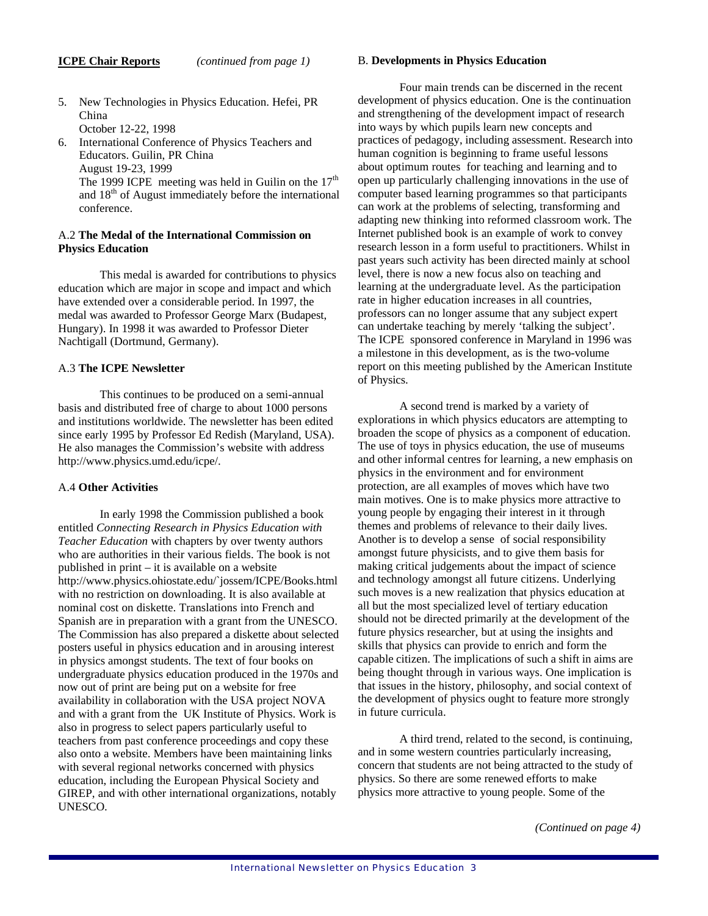- 5. New Technologies in Physics Education. Hefei, PR China October 12-22, 1998
- 6. International Conference of Physics Teachers and Educators. Guilin, PR China August 19-23, 1999 The 1999 ICPE meeting was held in Guilin on the  $17<sup>th</sup>$ and 18th of August immediately before the international conference.

## A.2 **The Medal of the International Commission on Physics Education**

This medal is awarded for contributions to physics education which are major in scope and impact and which have extended over a considerable period. In 1997, the medal was awarded to Professor George Marx (Budapest, Hungary). In 1998 it was awarded to Professor Dieter Nachtigall (Dortmund, Germany).

## A.3 **The ICPE Newsletter**

This continues to be produced on a semi-annual basis and distributed free of charge to about 1000 persons and institutions worldwide. The newsletter has been edited since early 1995 by Professor Ed Redish (Maryland, USA). He also manages the Commission's website with address http://www.physics.umd.edu/icpe/.

## A.4 **Other Activities**

In early 1998 the Commission published a book entitled *Connecting Research in Physics Education with Teacher Education* with chapters by over twenty authors who are authorities in their various fields. The book is not published in print – it is available on a website http://www.physics.ohiostate.edu/`jossem/ICPE/Books.html with no restriction on downloading. It is also available at nominal cost on diskette. Translations into French and Spanish are in preparation with a grant from the UNESCO. The Commission has also prepared a diskette about selected posters useful in physics education and in arousing interest in physics amongst students. The text of four books on undergraduate physics education produced in the 1970s and now out of print are being put on a website for free availability in collaboration with the USA project NOVA and with a grant from the UK Institute of Physics. Work is also in progress to select papers particularly useful to teachers from past conference proceedings and copy these also onto a website. Members have been maintaining links with several regional networks concerned with physics education, including the European Physical Society and GIREP, and with other international organizations, notably UNESCO.

## B. **Developments in Physics Education**

Four main trends can be discerned in the recent development of physics education. One is the continuation and strengthening of the development impact of research into ways by which pupils learn new concepts and practices of pedagogy, including assessment. Research into human cognition is beginning to frame useful lessons about optimum routes for teaching and learning and to open up particularly challenging innovations in the use of computer based learning programmes so that participants can work at the problems of selecting, transforming and adapting new thinking into reformed classroom work. The Internet published book is an example of work to convey research lesson in a form useful to practitioners. Whilst in past years such activity has been directed mainly at school level, there is now a new focus also on teaching and learning at the undergraduate level. As the participation rate in higher education increases in all countries, professors can no longer assume that any subject expert can undertake teaching by merely 'talking the subject'. The ICPE sponsored conference in Maryland in 1996 was a milestone in this development, as is the two-volume report on this meeting published by the American Institute of Physics.

A second trend is marked by a variety of explorations in which physics educators are attempting to broaden the scope of physics as a component of education. The use of toys in physics education, the use of museums and other informal centres for learning, a new emphasis on physics in the environment and for environment protection, are all examples of moves which have two main motives. One is to make physics more attractive to young people by engaging their interest in it through themes and problems of relevance to their daily lives. Another is to develop a sense of social responsibility amongst future physicists, and to give them basis for making critical judgements about the impact of science and technology amongst all future citizens. Underlying such moves is a new realization that physics education at all but the most specialized level of tertiary education should not be directed primarily at the development of the future physics researcher, but at using the insights and skills that physics can provide to enrich and form the capable citizen. The implications of such a shift in aims are being thought through in various ways. One implication is that issues in the history, philosophy, and social context of the development of physics ought to feature more strongly in future curricula.

A third trend, related to the second, is continuing, and in some western countries particularly increasing, concern that students are not being attracted to the study of physics. So there are some renewed efforts to make physics more attractive to young people. Some of the

*(Continued on page 4)*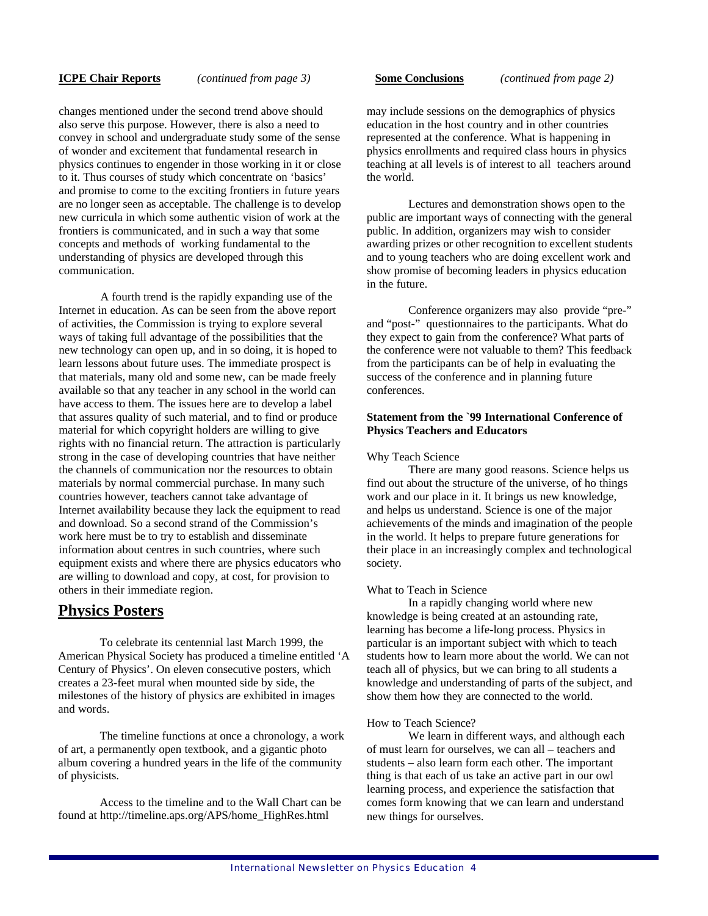changes mentioned under the second trend above should also serve this purpose. However, there is also a need to convey in school and undergraduate study some of the sense of wonder and excitement that fundamental research in physics continues to engender in those working in it or close to it. Thus courses of study which concentrate on 'basics' and promise to come to the exciting frontiers in future years are no longer seen as acceptable. The challenge is to develop new curricula in which some authentic vision of work at the frontiers is communicated, and in such a way that some concepts and methods of working fundamental to the understanding of physics are developed through this communication.

A fourth trend is the rapidly expanding use of the Internet in education. As can be seen from the above report of activities, the Commission is trying to explore several ways of taking full advantage of the possibilities that the new technology can open up, and in so doing, it is hoped to learn lessons about future uses. The immediate prospect is that materials, many old and some new, can be made freely available so that any teacher in any school in the world can have access to them. The issues here are to develop a label that assures quality of such material, and to find or produce material for which copyright holders are willing to give rights with no financial return. The attraction is particularly strong in the case of developing countries that have neither the channels of communication nor the resources to obtain materials by normal commercial purchase. In many such countries however, teachers cannot take advantage of Internet availability because they lack the equipment to read and download. So a second strand of the Commission's work here must be to try to establish and disseminate information about centres in such countries, where such equipment exists and where there are physics educators who are willing to download and copy, at cost, for provision to others in their immediate region.

## **Physics Posters**

To celebrate its centennial last March 1999, the American Physical Society has produced a timeline entitled 'A Century of Physics'. On eleven consecutive posters, which creates a 23-feet mural when mounted side by side, the milestones of the history of physics are exhibited in images and words.

The timeline functions at once a chronology, a work of art, a permanently open textbook, and a gigantic photo album covering a hundred years in the life of the community of physicists.

Access to the timeline and to the Wall Chart can be found at http://timeline.aps.org/APS/home\_HighRes.html

### **ICPE Chair Reports** *(continued from page 3)* **Some Conclusions** *(continued from page 2)*

may include sessions on the demographics of physics education in the host country and in other countries represented at the conference. What is happening in physics enrollments and required class hours in physics teaching at all levels is of interest to all teachers around

Lectures and demonstration shows open to the public are important ways of connecting with the general public. In addition, organizers may wish to consider awarding prizes or other recognition to excellent students and to young teachers who are doing excellent work and show promise of becoming leaders in physics education in the future.

Conference organizers may also provide "pre-" and "post-" questionnaires to the participants. What do they expect to gain from the conference? What parts of the conference were not valuable to them? This feedback from the participants can be of help in evaluating the success of the conference and in planning future conferences.

## **Statement from the `99 International Conference of Physics Teachers and Educators**

## Why Teach Science

the world.

There are many good reasons. Science helps us find out about the structure of the universe, of ho things work and our place in it. It brings us new knowledge, and helps us understand. Science is one of the major achievements of the minds and imagination of the people in the world. It helps to prepare future generations for their place in an increasingly complex and technological society.

### What to Teach in Science

In a rapidly changing world where new knowledge is being created at an astounding rate, learning has become a life-long process. Physics in particular is an important subject with which to teach students how to learn more about the world. We can not teach all of physics, but we can bring to all students a knowledge and understanding of parts of the subject, and show them how they are connected to the world.

### How to Teach Science?

We learn in different ways, and although each of must learn for ourselves, we can all – teachers and students – also learn form each other. The important thing is that each of us take an active part in our owl learning process, and experience the satisfaction that comes form knowing that we can learn and understand new things for ourselves.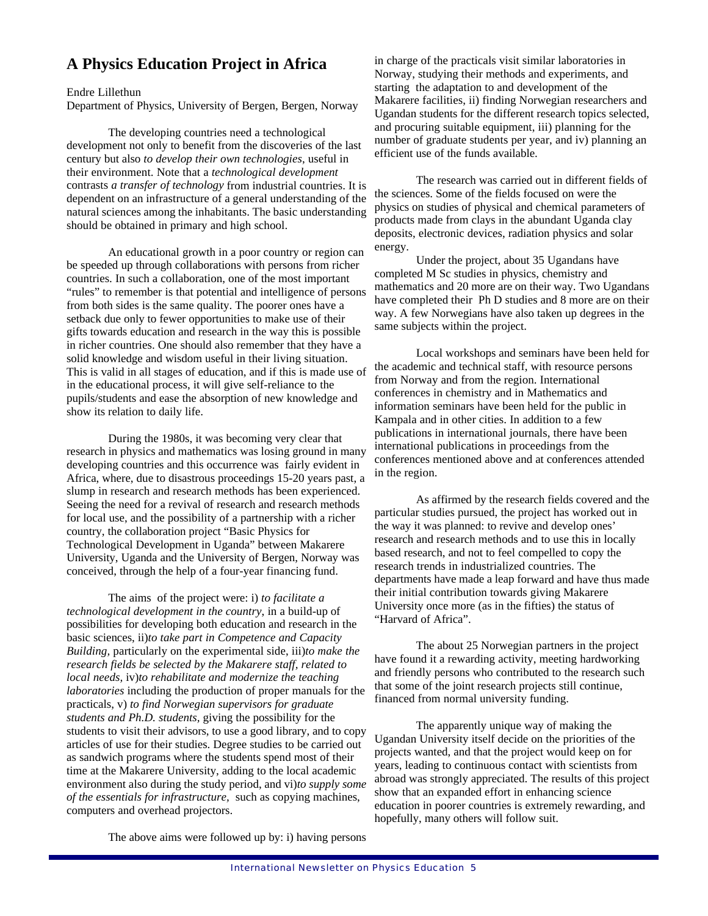# **A Physics Education Project in Africa**

Endre Lillethun

Department of Physics, University of Bergen, Bergen, Norway

The developing countries need a technological development not only to benefit from the discoveries of the last century but also *to develop their own technologies*, useful in their environment. Note that a *technological development*  contrasts *a transfer of technology* from industrial countries. It is dependent on an infrastructure of a general understanding of the natural sciences among the inhabitants. The basic understanding should be obtained in primary and high school.

An educational growth in a poor country or region can be speeded up through collaborations with persons from richer countries. In such a collaboration, one of the most important "rules" to remember is that potential and intelligence of persons from both sides is the same quality. The poorer ones have a setback due only to fewer opportunities to make use of their gifts towards education and research in the way this is possible in richer countries. One should also remember that they have a solid knowledge and wisdom useful in their living situation. This is valid in all stages of education, and if this is made use of in the educational process, it will give self-reliance to the pupils/students and ease the absorption of new knowledge and show its relation to daily life.

During the 1980s, it was becoming very clear that research in physics and mathematics was losing ground in many developing countries and this occurrence was fairly evident in Africa, where, due to disastrous proceedings 15-20 years past, a slump in research and research methods has been experienced. Seeing the need for a revival of research and research methods for local use, and the possibility of a partnership with a richer country, the collaboration project "Basic Physics for Technological Development in Uganda" between Makarere University, Uganda and the University of Bergen, Norway was conceived, through the help of a four-year financing fund.

The aims of the project were: i) *to facilitate a technological development in the country*, in a build-up of possibilities for developing both education and research in the basic sciences, ii)*to take part in Competence and Capacity Building,* particularly on the experimental side, iii)*to make the research fields be selected by the Makarere staff, related to local needs,* iv)*to rehabilitate and modernize the teaching laboratories* including the production of proper manuals for the practicals, v) *to find Norwegian supervisors for graduate students and Ph.D. students,* giving the possibility for the students to visit their advisors, to use a good library, and to copy articles of use for their studies. Degree studies to be carried out as sandwich programs where the students spend most of their time at the Makarere University, adding to the local academic environment also during the study period, and vi)*to supply some of the essentials for infrastructure,* such as copying machines, computers and overhead projectors.

in charge of the practicals visit similar laboratories in Norway, studying their methods and experiments, and starting the adaptation to and development of the Makarere facilities, ii) finding Norwegian researchers and Ugandan students for the different research topics selected, and procuring suitable equipment, iii) planning for the number of graduate students per year, and iv) planning an efficient use of the funds available.

The research was carried out in different fields of the sciences. Some of the fields focused on were the physics on studies of physical and chemical parameters of products made from clays in the abundant Uganda clay deposits, electronic devices, radiation physics and solar energy.

Under the project, about 35 Ugandans have completed M Sc studies in physics, chemistry and mathematics and 20 more are on their way. Two Ugandans have completed their Ph D studies and 8 more are on their way. A few Norwegians have also taken up degrees in the same subjects within the project.

Local workshops and seminars have been held for the academic and technical staff, with resource persons from Norway and from the region. International conferences in chemistry and in Mathematics and information seminars have been held for the public in Kampala and in other cities. In addition to a few publications in international journals, there have been international publications in proceedings from the conferences mentioned above and at conferences attended in the region.

As affirmed by the research fields covered and the particular studies pursued, the project has worked out in the way it was planned: to revive and develop ones' research and research methods and to use this in locally based research, and not to feel compelled to copy the research trends in industrialized countries. The departments have made a leap forward and have thus made their initial contribution towards giving Makarere University once more (as in the fifties) the status of "Harvard of Africa".

The about 25 Norwegian partners in the project have found it a rewarding activity, meeting hardworking and friendly persons who contributed to the research such that some of the joint research projects still continue, financed from normal university funding.

The apparently unique way of making the Ugandan University itself decide on the priorities of the projects wanted, and that the project would keep on for years, leading to continuous contact with scientists from abroad was strongly appreciated. The results of this project show that an expanded effort in enhancing science education in poorer countries is extremely rewarding, and hopefully, many others will follow suit.

The above aims were followed up by: i) having persons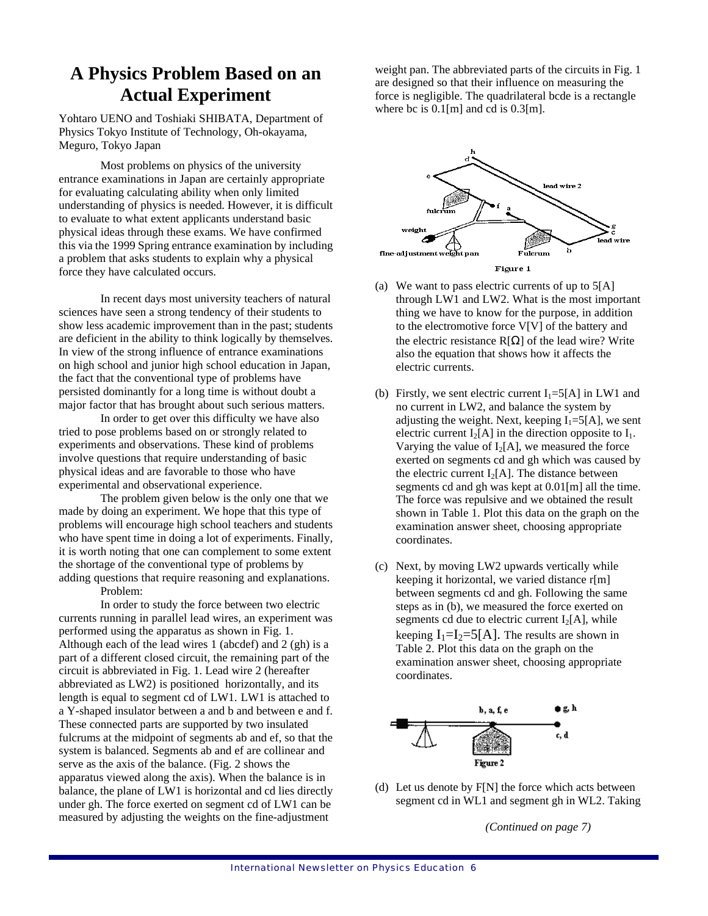# **A Physics Problem Based on an Actual Experiment**

Yohtaro UENO and Toshiaki SHIBATA, Department of Physics Tokyo Institute of Technology, Oh-okayama, Meguro, Tokyo Japan

Most problems on physics of the university entrance examinations in Japan are certainly appropriate for evaluating calculating ability when only limited understanding of physics is needed. However, it is difficult to evaluate to what extent applicants understand basic physical ideas through these exams. We have confirmed this via the 1999 Spring entrance examination by including a problem that asks students to explain why a physical force they have calculated occurs.

In recent days most university teachers of natural sciences have seen a strong tendency of their students to show less academic improvement than in the past; students are deficient in the ability to think logically by themselves. In view of the strong influence of entrance examinations on high school and junior high school education in Japan, the fact that the conventional type of problems have persisted dominantly for a long time is without doubt a major factor that has brought about such serious matters.

In order to get over this difficulty we have also tried to pose problems based on or strongly related to experiments and observations. These kind of problems involve questions that require understanding of basic physical ideas and are favorable to those who have experimental and observational experience.

The problem given below is the only one that we made by doing an experiment. We hope that this type of problems will encourage high school teachers and students who have spent time in doing a lot of experiments. Finally, it is worth noting that one can complement to some extent the shortage of the conventional type of problems by adding questions that require reasoning and explanations. Problem:

In order to study the force between two electric currents running in parallel lead wires, an experiment was performed using the apparatus as shown in Fig. 1. Although each of the lead wires 1 (abcdef) and 2 (gh) is a part of a different closed circuit, the remaining part of the circuit is abbreviated in Fig. 1. Lead wire 2 (hereafter abbreviated as LW2) is positioned horizontally, and its length is equal to segment cd of LW1. LW1 is attached to a Y-shaped insulator between a and b and between e and f. These connected parts are supported by two insulated fulcrums at the midpoint of segments ab and ef, so that the system is balanced. Segments ab and ef are collinear and serve as the axis of the balance. (Fig. 2 shows the apparatus viewed along the axis). When the balance is in balance, the plane of LW1 is horizontal and cd lies directly under gh. The force exerted on segment cd of LW1 can be measured by adjusting the weights on the fine-adjustment

weight pan. The abbreviated parts of the circuits in Fig. 1 are designed so that their influence on measuring the force is negligible. The quadrilateral bcde is a rectangle where bc is  $0.1$ [m] and cd is  $0.3$ [m].



- (a) We want to pass electric currents of up to  $5[A]$ through LW1 and LW2. What is the most important thing we have to know for the purpose, in addition to the electromotive force V[V] of the battery and the electric resistance  $R[\Omega]$  of the lead wire? Write also the equation that shows how it affects the electric currents.
- (b) Firstly, we sent electric current  $I_1 = 5[A]$  in LW1 and no current in LW2, and balance the system by adjusting the weight. Next, keeping  $I_1 = 5[A]$ , we sent electric current  $I_2[A]$  in the direction opposite to  $I_1$ . Varying the value of  $I_2[A]$ , we measured the force exerted on segments cd and gh which was caused by the electric current  $I_2[A]$ . The distance between segments cd and gh was kept at 0.01[m] all the time. The force was repulsive and we obtained the result shown in Table 1. Plot this data on the graph on the examination answer sheet, choosing appropriate coordinates.
- (c) Next, by moving LW2 upwards vertically while keeping it horizontal, we varied distance r[m] between segments cd and gh. Following the same steps as in (b), we measured the force exerted on segments cd due to electric current  $I_2[A]$ , while keeping  $I_1=I_2=5[A]$ . The results are shown in Table 2. Plot this data on the graph on the examination answer sheet, choosing appropriate coordinates.



(d) Let us denote by F[N] the force which acts between segment cd in WL1 and segment gh in WL2. Taking

*(Continued on page 7)*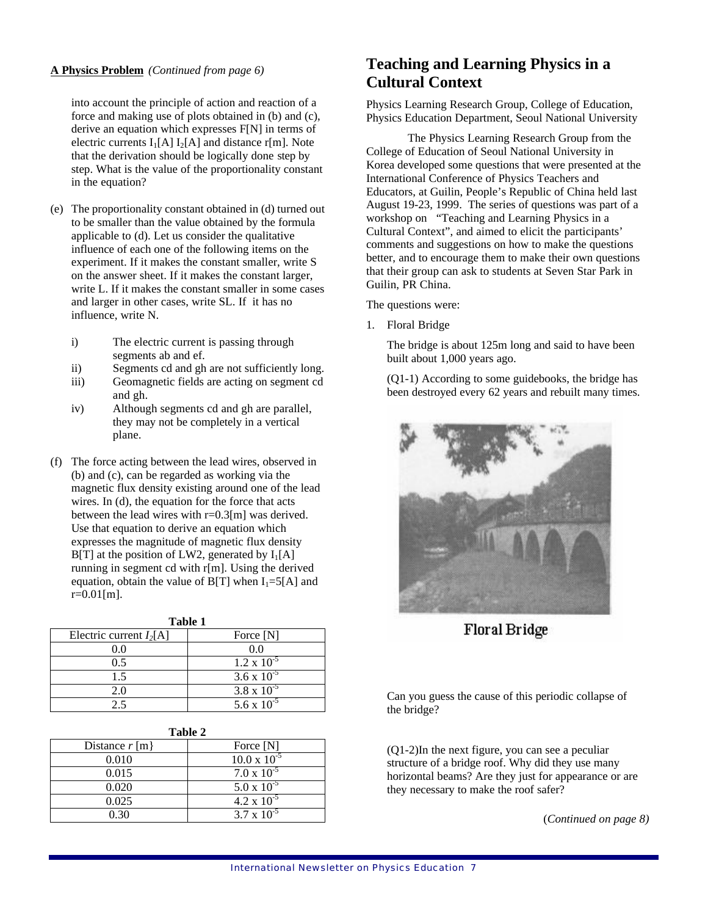into account the principle of action and reaction of a force and making use of plots obtained in (b) and (c), derive an equation which expresses F[N] in terms of electric currents  $I_1[A] I_2[A]$  and distance r[m]. Note that the derivation should be logically done step by step. What is the value of the proportionality constant in the equation?

- (e) The proportionality constant obtained in (d) turned out to be smaller than the value obtained by the formula applicable to (d). Let us consider the qualitative influence of each one of the following items on the experiment. If it makes the constant smaller, write S on the answer sheet. If it makes the constant larger, write L. If it makes the constant smaller in some cases and larger in other cases, write SL. If it has no influence, write N.
	- i) The electric current is passing through segments ab and ef.
	- ii) Segments cd and gh are not sufficiently long.
	- iii) Geomagnetic fields are acting on segment cd and gh.
	- iv) Although segments cd and gh are parallel, they may not be completely in a vertical plane.
- (f) The force acting between the lead wires, observed in (b) and (c), can be regarded as working via the magnetic flux density existing around one of the lead wires. In (d), the equation for the force that acts between the lead wires with  $r=0.3$ [m] was derived. Use that equation to derive an equation which expresses the magnitude of magnetic flux density  $B[T]$  at the position of LW2, generated by  $I_1[A]$ running in segment cd with r[m]. Using the derived equation, obtain the value of  $B[T]$  when  $I_1 = 5[A]$  and  $r=0.01$ [m].

| Table 1                   |                      |  |
|---------------------------|----------------------|--|
| Electric current $I_2[A]$ | Force [N]            |  |
| 0.0                       | 0.0                  |  |
| 0.5                       | $1.2 \times 10^{-5}$ |  |
| 1.5                       | $3.6 \times 10^{-5}$ |  |
| 2.0                       | $3.8 \times 10^{-5}$ |  |
| ? 5                       | 5.6 x $10^{-5}$      |  |

| Distance $r \, \text{m}$ | Force [N]             |
|--------------------------|-----------------------|
| 0.010                    | $10.0 \times 10^{-5}$ |
| 0.015                    | $7.0 \times 10^{-5}$  |
| 0.020                    | $5.0 \times 10^{-5}$  |
| 0.025                    | $4.2 \times 10^{-5}$  |
|                          | $3.7 \times 10^{-5}$  |

# **A Physics Problem** *(Continued from page 6)* **Teaching and Learning Physics in a Cultural Context**

Physics Learning Research Group, College of Education, Physics Education Department, Seoul National University

The Physics Learning Research Group from the College of Education of Seoul National University in Korea developed some questions that were presented at the International Conference of Physics Teachers and Educators, at Guilin, People's Republic of China held last August 19-23, 1999. The series of questions was part of a workshop on "Teaching and Learning Physics in a Cultural Context", and aimed to elicit the participants' comments and suggestions on how to make the questions better, and to encourage them to make their own questions that their group can ask to students at Seven Star Park in Guilin, PR China.

The questions were:

1. Floral Bridge

The bridge is about 125m long and said to have been built about 1,000 years ago.

(Q1-1) According to some guidebooks, the bridge has been destroyed every 62 years and rebuilt many times.



Floral Bridge

Can you guess the cause of this periodic collapse of the bridge?

(Q1-2)In the next figure, you can see a peculiar structure of a bridge roof. Why did they use many horizontal beams? Are they just for appearance or are they necessary to make the roof safer?

(*Continued on page 8)*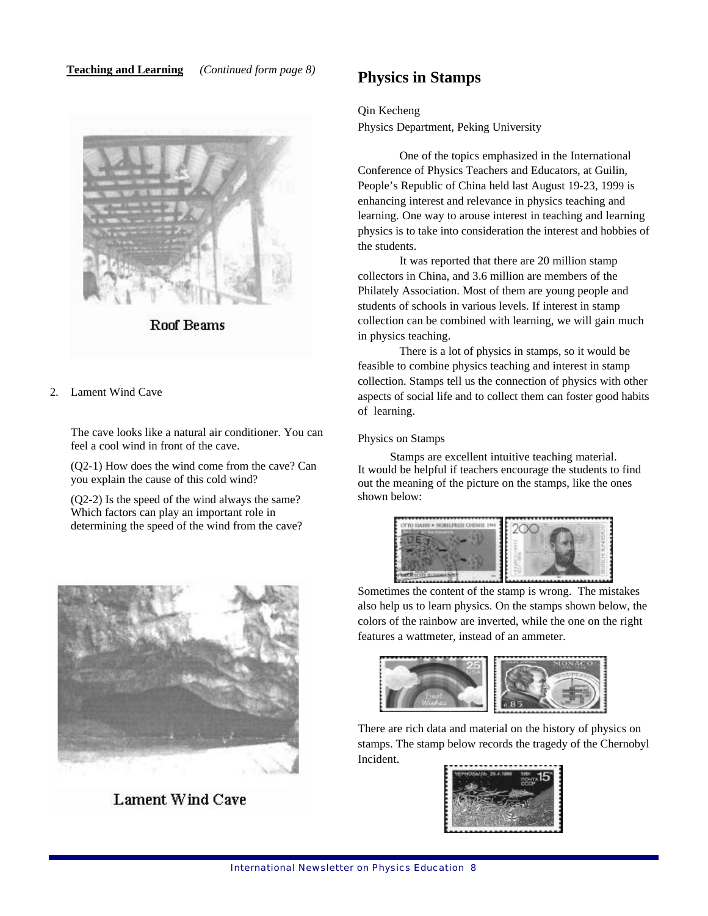**Teaching and Learning** *(Continued form page 8)* **Physics in Stamps**



**Roof Beams** 

2. Lament Wind Cave

The cave looks like a natural air conditioner. You can feel a cool wind in front of the cave.

(Q2-1) How does the wind come from the cave? Can you explain the cause of this cold wind?

(Q2-2) Is the speed of the wind always the same? Which factors can play an important role in determining the speed of the wind from the cave?



**Lament Wind Cave** 

Qin Kecheng

Physics Department, Peking University

One of the topics emphasized in the International Conference of Physics Teachers and Educators, at Guilin, People's Republic of China held last August 19-23, 1999 is enhancing interest and relevance in physics teaching and learning. One way to arouse interest in teaching and learning physics is to take into consideration the interest and hobbies of the students.

It was reported that there are 20 million stamp collectors in China, and 3.6 million are members of the Philately Association. Most of them are young people and students of schools in various levels. If interest in stamp collection can be combined with learning, we will gain much in physics teaching.

There is a lot of physics in stamps, so it would be feasible to combine physics teaching and interest in stamp collection. Stamps tell us the connection of physics with other aspects of social life and to collect them can foster good habits of learning.

## Physics on Stamps

Stamps are excellent intuitive teaching material. It would be helpful if teachers encourage the students to find out the meaning of the picture on the stamps, like the ones shown below:



Sometimes the content of the stamp is wrong. The mistakes also help us to learn physics. On the stamps shown below, the colors of the rainbow are inverted, while the one on the right features a wattmeter, instead of an ammeter.



There are rich data and material on the history of physics on stamps. The stamp below records the tragedy of the Chernobyl Incident.

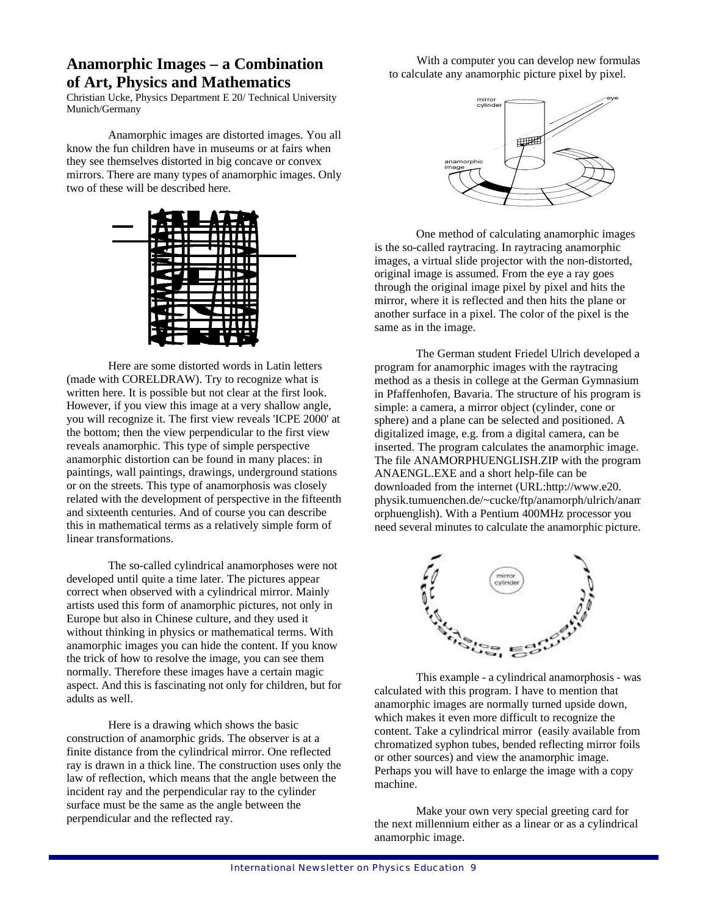# **Anamorphic Images – a Combination of Art, Physics and Mathematics**

Christian Ucke, Physics Department E 20/ Technical University Munich/Germany

Anamorphic images are distorted images. You all know the fun children have in museums or at fairs when they see themselves distorted in big concave or convex mirrors. There are many types of anamorphic images. Only two of these will be described here.



Here are some distorted words in Latin letters (made with CORELDRAW). Try to recognize what is written here. It is possible but not clear at the first look. However, if you view this image at a very shallow angle, you will recognize it. The first view reveals 'ICPE 2000' at the bottom; then the view perpendicular to the first view reveals anamorphic. This type of simple perspective anamorphic distortion can be found in many places: in paintings, wall paintings, drawings, underground stations or on the streets. This type of anamorphosis was closely related with the development of perspective in the fifteenth and sixteenth centuries. And of course you can describe this in mathematical terms as a relatively simple form of linear transformations.

The so-called cylindrical anamorphoses were not developed until quite a time later. The pictures appear correct when observed with a cylindrical mirror. Mainly artists used this form of anamorphic pictures, not only in Europe but also in Chinese culture, and they used it without thinking in physics or mathematical terms. With anamorphic images you can hide the content. If you know the trick of how to resolve the image, you can see them normally. Therefore these images have a certain magic aspect. And this is fascinating not only for children, but for adults as well.

Here is a drawing which shows the basic construction of anamorphic grids. The observer is at a finite distance from the cylindrical mirror. One reflected ray is drawn in a thick line. The construction uses only the law of reflection, which means that the angle between the incident ray and the perpendicular ray to the cylinder surface must be the same as the angle between the perpendicular and the reflected ray.

With a computer you can develop new formulas to calculate any anamorphic picture pixel by pixel.



One method of calculating anamorphic images is the so-called raytracing. In raytracing anamorphic images, a virtual slide projector with the non-distorted, original image is assumed. From the eye a ray goes through the original image pixel by pixel and hits the mirror, where it is reflected and then hits the plane or another surface in a pixel. The color of the pixel is the same as in the image.

The German student Friedel Ulrich developed a program for anamorphic images with the raytracing method as a thesis in college at the German Gymnasium in Pfaffenhofen, Bavaria. The structure of his program is simple: a camera, a mirror object (cylinder, cone or sphere) and a plane can be selected and positioned. A digitalized image, e.g. from a digital camera, can be inserted. The program calculates the anamorphic image. The file ANAMORPHUENGLISH.ZIP with the program ANAENGL.EXE and a short help-file can be downloaded from the internet (URL:http://www.e20. physik.tumuenchen.de/~cucke/ftp/anamorph/ulrich/anam orphuenglish). With a Pentium 400MHz processor you need several minutes to calculate the anamorphic picture.



This example - a cylindrical anamorphosis - was calculated with this program. I have to mention that anamorphic images are normally turned upside down, which makes it even more difficult to recognize the content. Take a cylindrical mirror (easily available from chromatized syphon tubes, bended reflecting mirror foils or other sources) and view the anamorphic image. Perhaps you will have to enlarge the image with a copy machine.

Make your own very special greeting card for the next millennium either as a linear or as a cylindrical anamorphic image.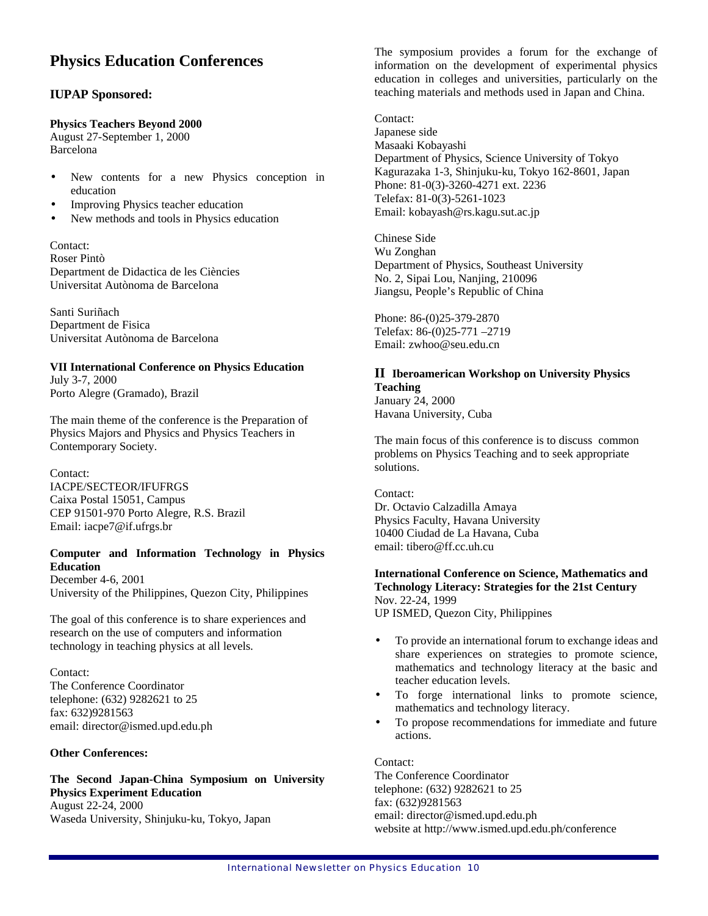# **Physics Education Conferences**

## **IUPAP Sponsored:**

## **Physics Teachers Beyond 2000**

August 27-September 1, 2000 Barcelona

- New contents for a new Physics conception in education
- **Improving Physics teacher education**
- New methods and tools in Physics education

Contact: Roser Pintò Department de Didactica de les Ciències Universitat Autònoma de Barcelona

Santi Suriñach Department de Fisica Universitat Autònoma de Barcelona

## **VII International Conference on Physics Education** July 3-7, 2000 Porto Alegre (Gramado), Brazil

The main theme of the conference is the Preparation of Physics Majors and Physics and Physics Teachers in Contemporary Society.

Contact: IACPE/SECTEOR/IFUFRGS Caixa Postal 15051, Campus CEP 91501-970 Porto Alegre, R.S. Brazil Email: iacpe7@if.ufrgs.br

## **Computer and Information Technology in Physics Education**

December 4-6, 2001 University of the Philippines, Quezon City, Philippines

The goal of this conference is to share experiences and research on the use of computers and information technology in teaching physics at all levels.

Contact: The Conference Coordinator telephone: (632) 9282621 to 25 fax: 632)9281563 email: director@ismed.upd.edu.ph

## **Other Conferences:**

**The Second Japan-China Symposium on University Physics Experiment Education**  August 22-24, 2000 Waseda University, Shinjuku-ku, Tokyo, Japan

The symposium provides a forum for the exchange of information on the development of experimental physics education in colleges and universities, particularly on the teaching materials and methods used in Japan and China.

Contact: Japanese side Masaaki Kobayashi Department of Physics, Science University of Tokyo Kagurazaka 1-3, Shinjuku-ku, Tokyo 162-8601, Japan Phone: 81-0(3)-3260-4271 ext. 2236 Telefax: 81-0(3)-5261-1023 Email: kobayash@rs.kagu.sut.ac.jp

Chinese Side Wu Zonghan Department of Physics, Southeast University No. 2, Sipai Lou, Nanjing, 210096 Jiangsu, People's Republic of China

Phone: 86-(0)25-379-2870 Telefax: 86-(0)25-771 –2719 Email: zwhoo@seu.edu.cn

## **II Iberoamerican Workshop on University Physics Teaching**

January 24, 2000 Havana University, Cuba

The main focus of this conference is to discuss common problems on Physics Teaching and to seek appropriate solutions.

Contact: Dr. Octavio Calzadilla Amaya Physics Faculty, Havana University 10400 Ciudad de La Havana, Cuba email: tibero@ff.cc.uh.cu

## **International Conference on Science, Mathematics and Technology Literacy: Strategies for the 21st Century**  Nov. 22-24, 1999

UP ISMED, Quezon City, Philippines

- To provide an international forum to exchange ideas and share experiences on strategies to promote science, mathematics and technology literacy at the basic and teacher education levels.
- To forge international links to promote science, mathematics and technology literacy.
- To propose recommendations for immediate and future actions.

Contact:

The Conference Coordinator telephone: (632) 9282621 to 25 fax: (632)9281563 email: director@ismed.upd.edu.ph website at http://www.ismed.upd.edu.ph/conference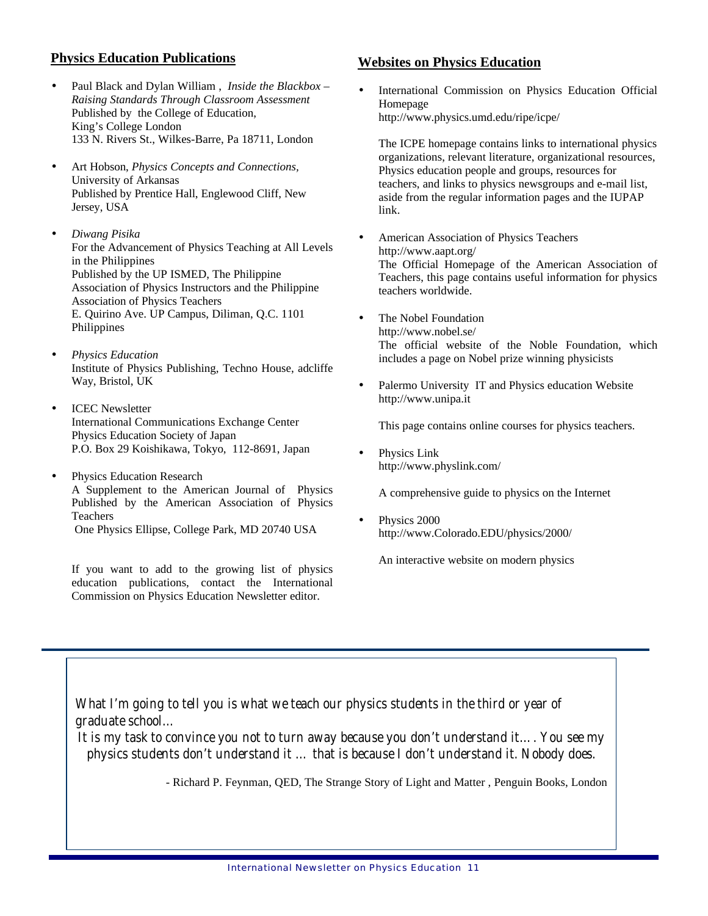## **Physics Education Publications**

- Paul Black and Dylan William , *Inside the Blackbox – Raising Standards Through Classroom Assessment* Published by the College of Education, King's College London 133 N. Rivers St., Wilkes-Barre, Pa 18711, London
- Art Hobson, *Physics Concepts and Connections,* University of Arkansas Published by Prentice Hall, Englewood Cliff, New Jersey, USA
- *Diwang Pisika* For the Advancement of Physics Teaching at All Levels in the Philippines Published by the UP ISMED, The Philippine Association of Physics Instructors and the Philippine Association of Physics Teachers E. Quirino Ave. UP Campus, Diliman, Q.C. 1101 Philippines
- *Physics Education* Institute of Physics Publishing, Techno House, adcliffe Way, Bristol, UK
- ICEC Newsletter International Communications Exchange Center Physics Education Society of Japan P.O. Box 29 Koishikawa, Tokyo, 112-8691, Japan
- Physics Education Research A Supplement to the American Journal of Physics Published by the American Association of Physics Teachers One Physics Ellipse, College Park, MD 20740 USA

If you want to add to the growing list of physics education publications, contact the International Commission on Physics Education Newsletter editor.

# **Websites on Physics Education**

International Commission on Physics Education Official Homepage http://www.physics.umd.edu/ripe/icpe/

The ICPE homepage contains links to international physics organizations, relevant literature, organizational resources, Physics education people and groups, resources for teachers, and links to physics newsgroups and e-mail list, aside from the regular information pages and the IUPAP link.

- American Association of Physics Teachers http://www.aapt.org/ The Official Homepage of the American Association of Teachers, this page contains useful information for physics teachers worldwide.
- The Nobel Foundation http://www.nobel.se/ The official website of the Noble Foundation, which includes a page on Nobel prize winning physicists
- Palermo University IT and Physics education Website http://www.unipa.it

This page contains online courses for physics teachers.

Physics Link http://www.physlink.com/

A comprehensive guide to physics on the Internet

Physics 2000 http://www.Colorado.EDU/physics/2000/

An interactive website on modern physics

*What I'm going to tell you is what we teach our physics students in the third or year of graduate school…*

*It is my task to convince you not to turn away because you don't understand it…. You see my physics students don't understand it … that is because I don't understand it. Nobody does.*

- Richard P. Feynman, QED, The Strange Story of Light and Matter , Penguin Books, London